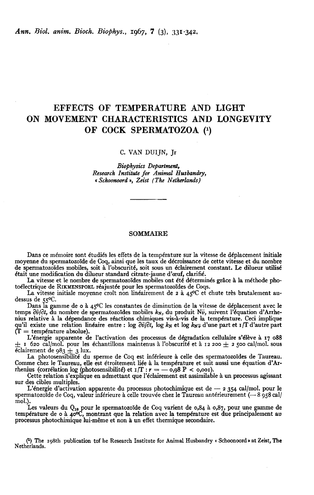Ann. Biol. anim. Bioch. Biophys., 1967, 7 (3), 331-342.

# EFFECTS OF TEMPERATURE AND LIGHT ON MOVEMENT CHARACTERISTICS AND LONGEVITY OF COCK SPERMATOZOA (1)

### C. VAN DUIJN, Jr

Biophysics Department, Research Institute for Animal Husbandry, « Schoonoord », Zeist (The Netherlands)

#### **SOMMAIRE**

Dans ce mémoire sont étudiés les effets de la température sur la vitesse de déplacement initiale moyenne du spermatozoide de Coq, ainsi que les taux de d6croissance de cette vitesse et du nombre SOMMAIRE<br>Dans ce mémoire sont étudiés les effets de la température sur la vitesse de déplacement initiale<br>moyenne du spermatozoïde de Coq, ainsi que les taux de décroissance de cette vitesse et du nombre<br>de spermatozoïdes était une modification du dilueur standard citrate-jaune d'oeuf, clarifié. Dans ce mémoire sont étudiés les effets de la température sur la vitesse de déplacement initiale<br>moyenne du spermatozoïde de Coq, ainsi que les taux de décroissance de cette vitesse et du nombre<br>de spermatozoïdes mobiles,

toélectrique de RIKMENSPOEL réajustée pour les spermatozoïdes de Coqs.<br>La vitesse initiale moyenne croît non linéairement de 2 à 45°C et chute très brutalement au-

dessus de 550C.

Dans la gamme de o à 45ºC les constantes de diminution de la vitesse de déplacement avec le temps  $\partial \tilde{v}/\partial t$ , du nombre de spermatozoïdes mobiles  $k_N$ , du produit Nv, suivent l'équation d'Arrhenius relative à la dépendance des réactions chimiques vis-à-vis de la température. Ceci implique<br>qu'il existe une relation linéaire entre : log  $\partial \bar{v}/\partial t$ , log  $k_N$  et log  $k_N \bar{v}$  d'une part et 1/T d'autre part<br>(T = t delings *toper*, ou nombre de sintus relative à la dépendant<br>qu'il existe une relation lin<br>(T = température absolue).<br>L'énergie apparente de<br> $\pm$  1 620 cal/mol. pour les<br>éclairement de 983  $\pm$  3 lux.<br>La photosensibilité d

L'énergie apparente de I'activation des processus de degradation cellulaire s'616ve a 17 o88 L'énergie apparente de l'activation des processus de dégradation cellulaire s'élève à 17 088<br>  $\pm$  1 620 cal/mol. sous les échantillons maintenus à l'obscurité et à 12 200  $\pm$  2 500 cal/mol. sous

La photosensibilité du sperme de Coq est inférieure à celle des spermatozoïdes de Taureau. Comme chez le Taureau, elle est étroitement liée à la température et suit aussi une équation d'Ar-<br>rhenius (corrélation log (photosensibilité) et  $1/T$ :  $r = -0.98$  P < 0.001).<br>Cette relation s'explique en admettant que l'éc

Cette relation s'explique en admettant que l'éclairement est assimilable à un processus agissant des cibles multiples.<br>L'énergie d'activation apparente du processus photochimique est de -- 2354 cal/mol. pour le<br>spermatozoï

sur des cibles multiples.<br>L'énergie d'activation apparente du processus photochimique est de -- 2 354 cal/mol. pour le<br>spermatozoïde de Coq, valeur inférieure à celle trouvée chez le Taureau antérieurement (-- 8 958 cal/ mol.).

spermatozoide de Coq, valeur interieure à celle trouvée chez le Taureau anterieurement (— o 950 cal)<br>Les valeurs du Q<sub>10</sub> pour le spermatozoïde de Coq varient de 0,84 à 0,87, pour une gamme de<br>température de o à 40<sup>o</sup>C, mo processus photochimique lui-même et non à un effet thermique secondaire.

( $\frac{1}{1}$ ) The 198th publication tof he Research Institute for Animal Husbandry « Schoonoord » at Zeist, The Netherlands.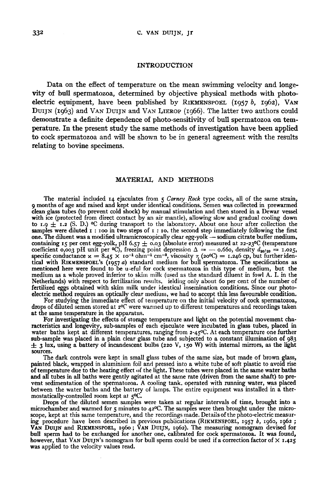#### INTRODUCTION

Data on the effect of temperature on the mean swimming velocity and longevity of bull spermatozoa, determined by objective physical methods with photoelectric equipment, have been published by RIKMENSPOEL (1957  $b$ , 1962), VAN DUIJN (1963) and VAN DUIJN and VAN LIEROP (1966). The latter two authors could demonstrate a definite dependence of photo-sensitivity of bull spermatozoa on temperature. In the present study the same methods of investigation have been applied to cock spermatozoa and will be shown to be in general agreement with the results relating to bovine specimens.

#### MATERIAL AND METHODS

The material included 14 ejaculates from 5 Corney Rock type cocks, all of the same strain, 9 months of age and raised and kept under identical conditions. Semen was collected in prewarmed clean glass tubes (to prevent cold shock) by manual stimulation and then stored in a Dewar vessel with ice (protected from direct contact by an air mantle), allowing slow and gradual cooling down clean glass tubes (to prevent cold shock) by manual stimulation and then stored in a Dewar vessel<br>with ice (protected from direct contact by an air mantle), allowing slow and gradual cooling down<br>to 1.9  $\pm$  1.2 (S. D.) <sup></sup> one. The diluent was a modified ultramicroscopically clear egg-yolk — sodium citrate buffer medium, to 1.9  $\pm$  1.2 (S. D.) <sup>o</sup>C during transport to the laboratory. About one hour after collection the samples were diluted 1 : 100 in two steps of 1 : 10, the second step immediately following the first one. The diluent wa sme. The diluent was a modified ultramicroscopically clear egg-yolk — sodium citrate buffer medium, containing 15 per cent egg-yolk, pH 6.57  $\pm$  0.03 (absolute error) measured at 22-23<sup>0</sup>C (temperature coefficient 0,003 clean glass tubes (to prevent cold shock) by manual stimulation and then stored in a Dewar vessel<br>with ice (protected from direct contact by an air mantle), allowing slow and gradual cooling down<br>to 1.9  $\pm$  1.2 (S. D.) o mentioned here were found to be u eful for cock spermatozoa in this type of medium, but the medium as a whole proved inferior to skim milk (used as the standard diluent in fowl A. I. in the Netherlands) with respect to fertilization results, ielding only about 60 per cent of the number of fertilization results, ielding only about 60 per cent of the number of electric method requires an optically clear medium, we had to accept this less favourable condition.

For studying the immediate effect of temperature on the initial velocity of cock spermatozoa, drops of diluted semen stored at 2°C were warmed up to different temperatures and recordings taken at the same temperature in the apparatus.

For investigating the effects of storage temperature and light on the potential movement characteristics and longevity, sub-samples of each ejaculate were incubated in glass tubes, placed in at the same temperature in the apparatus.<br>For investigating the effects of storage temperature and light on the potential movement characteristics and longevity, sub-samples of each ejaculate were incubated in glass tubes

The dark controls were kept in small glass tubes of the same size, but made of brown glass, painted black, wrapped in aluminium foil and pressed into a white tube of soft plastic to avoid rise of temperature due to the heating effect of the light. These tubes were placed in the same water baths and all tubes in all baths were gently agitated at the same rate (driven from the same shaft) to preand all tubes in all baths were gently agitated at the same rate (driven from the same shaft) to prevent sedimentation of the spermatozoa. A cooling tank, operated with running water, was placed<br>between the water baths and between the water baths and the battery<br>mostatically-controlled room kept at 5°C.<br>Drops of the diluted seman samples

Drops of the diluted semen samples were taken at regular intervals of time, brought into a microchamber and warmed for 5 minutes to 42°C. The samples were then brought under the microscope, kept at this same temperature, and the recordings made. Details of the photo-electric measuring procedure have been described in previous publications (RIKMENSPOEL, 1957 b, ig6o, 1962 ; scope, kept at this same temperature, and the recordings made. Details of the photo-electric measuring procedure have been described in previous publications (RIKMENSPOEL, 1957 b, 1960, 1962). The measuring nomogram devise stope, tept at this same competent of, and the recordings made. Details of the photo-encestine incess VAN DUIJN and RIKMENSPOEL, 1960; VAN DUIJN, 1962). The measuring nomogram devised for bull sperm had to be exchanged for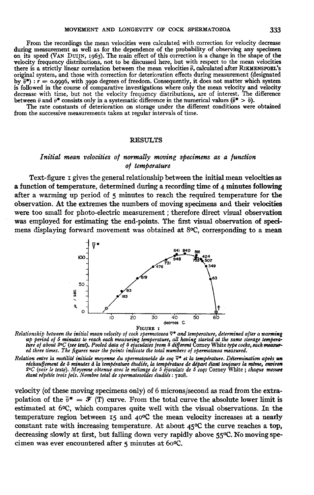From the recordings the mean velocities were calculated with correction for velocity decrease From the recordings the mean velocities were calculated with correction for velocity decrease<br>during measurement as well as for the dependence of the probability of observing any specimen<br>on its speed (VAN DWIJN, 1963). Th velocity frequency distributions, not to be discussed here, but with respect to the mean velocities original system, and those with correction for deterioration effects during measurement (designated<br>by  $\vec{v}^*$ ) :  $r = 0.9996$ , with 3990 degrees of freedom. Consequently, it does not matter which system<br>is followed in t there is a strictly linear correlation between the mean velocities  $\bar{v}$ , a strictly linear correlation between the mean velocities  $v$ , calculated after KIKMENSPOEL's<br>system, and those with correction for deterioration effects during measurement (designated **333**<br>for velocity decrease<br>erving any specimen<br>e in the shape of the<br>after RIKMENSPOEL's<br>surement (designated<br>matter which system decrease with time, but not the velocity frequency distributions, are of interest. The difference between  $\bar{v}$  and  $\bar{v}^*$  consists only in a systematic difference in the numerical values ( $\bar{v}^* > \bar{v}$ ).

The rate constants of deterioration on storage under the different conditions were obtained from the successive measurements taken at regular intervals of time.

#### RESULTS

## Initial mean velocities of normally moving specimens as a function of temperature

Text-figure I gives the general relationship between the initial mean velocities as a function of temperature, determined during a recording time of 4 minutes following after a warming up period of 5 minutes to reach the required temperature for the observation. At the extremes the numbers of moving specimens and their velocities were too small for photo-electric measurement; therefore direct visual observation was employed for estimating the end-points. The first visual observation of specimens displaying forward movement was obtained at 8 $\degree$ C, corresponding to a mean



Relationship between the initial mean velocity of cock spermatozoa  $\bar{v}^*$  and temperature, determined after a warming up period of 5 minutes to reach each measuring temperature, all having started at the same storage t

Relation entre la motilité initiale moyenne du spermatozoide de coq  $\overline{v}^*$  et la température. Détermination après un réchauffement de 5 minutes à la température étudiée, la température de départ étant toujours la même, environ 20C (voir le texte). Moyenne obtenue avec le mélange de 5 éjaculais de 5 coqs Corney White; chaque mesure étant répétée trois fois. Nombre total de spermatozoides étudiés : 7208.

velocity (of these moving specimens only) of 6 microns/second as read from the extrapolation of the  $\bar{v}^* = \mathcal{F}$  (T) curve. From the total curve the absolute lower limit is estimated at 6°C, which compares quite well with the visual observations. In the temperature region between 15 and  $40^{\circ}$ C the mean velocity increases at a nearly constant rate with increasing temperature. At about 45°C constant rate with increasing temperature. At about 45°C the curve reaches a top, constant rate with increasing temperature. At about 45<sup>o</sup>C the curve reaches a top, decreasing slowly at first, but falling down very rapidly above 55<sup>o</sup>C. No moving specimen was ever encountered after 5 minutes at 60<sup>o</sup>C.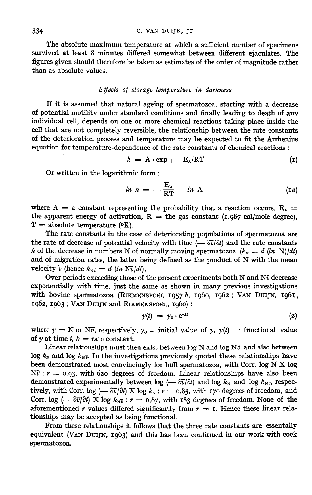The absolute maximum temperature at which a sufficient number of specimens survived at least 8 minutes differed somewhat between different ejaculates. The figures given should therefore be taken as estimates of the order of magnitude rather than as absolute values.

#### Effects of siorage temperature in darkness

If it is assumed that natural ageing of spermatozoa, starting with a decrease of potential motility under standard conditions and finally leading to death of any individual cell, depends on one or more chemical reactions taking place inside the cell that are not completely reversible, the relationship between the rate constants of the deterioration process and temperature may be expected to fit the Arrhenius equation for temperature-dependence of the rate constants of chemical reactions :

$$
k = A \cdot \exp \left[ -\mathbf{E}_{\mathbf{A}} / \mathbf{RT} \right] \tag{1}
$$

Or written in the logarithmic form :

$$
ln \, k = -\frac{E_A}{RT} + ln \, A \tag{1a}
$$

where A = a constant representing the probability that a reaction occurs,  $E_A$  = where  $A = a$  constant representing the probability that a reaction occurs,  $E_A =$ <br>the apparent energy of activation,  $R =$  the gas constant (1.987 cal/mole degree),<br> $T =$  absolute temperature (9K). the apparent energy of activation  $T =$  absolute temperature ( $\alpha$ K).<br>The rate constants in the  $\alpha$ 

The rate constants in the case of deteriorating populations of spermatozoa are the rate of decrease of potential velocity with time  $(-\partial \bar{v}/\partial t)$  and the rate constants k of the decrease in numbers N of normally moving spermatozoa  $(k_{N} = d \ (ln N)/dt)$ and of migration rates, the latter being defined as the product of N with the mean *k* of the decrease in numbers N of no<br>and of migration rates, the latter be<br>velocity  $\bar{v}$  (hence  $k_{\rm N\bar{v}} = d$  ( $ln N\bar{v}/dt$ ).<br>Over periods exceeding those of

Velocity v (hence  $\kappa_{\rm N5} = u$  (*in* Nv/*ai*).<br>Over periods exceeding those of the present experiments both N and Nv decrease<br>exponentially with time, just the same as shown in many previous investigations<br>with bovine sp exponentially with time, just the same as shown in many previous investigations with bovine spermatozoa (RIKMENSPOEL 1957  $b$ , 1960, 1962; VAN DUIJN, 1961,

$$
y(t) = y_0 \cdot e^{-kt} \tag{2}
$$

where  $y = N$  or  $N\overline{v}$ , respectively,  $y_0 =$  initial value of y,  $y(t) =$  functional value of y at time t,  $k =$  rate constant.

Linear relationships must then exist between log N and log  $N\bar{v}$ , and also between log  $k_N$  and log  $k_N\bar{v}$ . In the investigations previously quoted these relationships have been demonstrated most convincingly for bull spermatozoa, with Corr. log N X log  $N\bar{v}$  :  $r = 0.93$ , with 620 degrees of freedom. Linear relationships have also been demonstrated experimentally between log  $\left(-\frac{\partial \bar{v}}{\partial t}\right)$  and log  $k_N$  and log  $k_N$ , respectively, with Corr. log  $(-\partial \overline{v}/\partial t)$  X log  $k_N : r = 0.85$ , with 170 degrees of freedom, and Corr. log  $(-\partial \overline{v}/\partial t)$  X log  $k_N \overline{v} : r = 0.87$ , with 183 degrees of freedom. None of the aforementioned r values differed significantly from  $r = I$ . Hence these linear relationships may be accepted as being functional.

From these relationships it follows that the three rate constants are essentally equivalent (VAN DuijN, 1963) and this has been confirmed in our work with cock spermatozoa.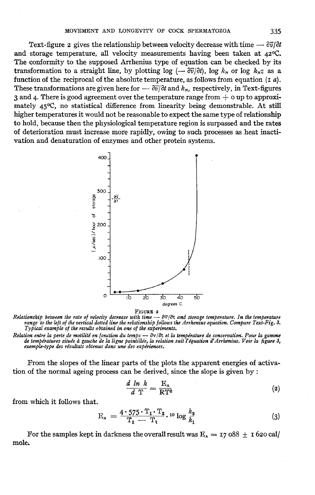MOVEMENT AND LONGEVITY OF COCK SPERMATOZOA 335<br>Text-figure 2 gives the relationship between velocity decrease with time  $-\partial \overline{\partial}/\partial t$ and storage temperature, all velocity measurements having been taken at 42°C. The conformity to the supposed Arrhenius type of equation can be checked by its transformation to a straight line, by plotting  $log (-\partial \overline{v}/\partial t)$ , log  $k_N$  or log  $k_N\overline{v}$  as a function of the reciprocal of the absolute temperature, as follows from equation  $(\tau a)$ . These transformations are given here for  $-\frac{\partial \overline{v}}{\partial t}$  and  $k_N$ , respectively, in Text-figures 3 and 4. There is good agreement over the temperature range from  $+$  0 up to approximately 45°C, no statistical difference from linearity being demonstrable. At still higher temperatures it would not be reasonable to expect the same type of relationship to hold, because then the physiological temperature region is surpassed and the rates of deterioration must increase more rapidly, owing to such processes as heat inactivation and denaturation of enzymes and other protein systems.



FIGURE 2

Relationship between the rate of velocity decrease with time  $\rightarrow$   $\partial \nabla/\partial t$  and storage temperature. In the temperature range to the left of the vertical dotted line the relationship follows the Arrhenius equation. Comp Typical example of the results obtained in one of the experiments.

Relation entre la perte de motilité en fonction du temps —  $\partial v/\partial t$  et la température de conservation. Pour la gamme<br>de températures située à gauche de la ligne pointillée, la relation suit l'équation d'Arrhenius. Voir la exemple-type des résultats obtenus dans une des expériences.

From the slopes of the linear parts of the plots the apparent energies of activation of the normal ageing process can be derived, since the slope is given by :

$$
\frac{d \ln k}{d \mathrm{T}} = \frac{\mathrm{E}_{\mathrm{A}}}{\mathrm{RT}^2} \tag{2}
$$

from which it follows that.

$$
E_{A} = \frac{4 \cdot 575 \cdot T_{1} \cdot T_{2}}{T_{2} - T_{1}} \cdot {}^{10} \log \frac{k_{2}}{k_{1}}
$$
 (3)

For the samples kept in darkness the overall result was  $E_A = 17088 + 1620$  cal/ mole.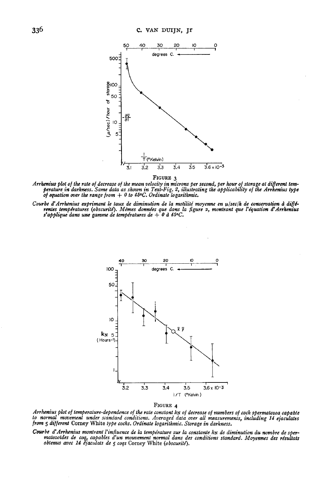

FIGURE 3

Arrhenius plot of the rate of decrease of the mean velocity in microns per second, per hour of storage at different temperature in darkness. Same data as shown in Text-Fig. 2, illustrating the applicability of the Arrhenius type<br>of equation over the range from  $+0$  to 45°C. Ordinate logarithmic.

Courbe d'Arrhenius exprimant le taux de diminution de la motilité moyenne en u/sec/h de conservation à différentes températures (obscurité). Mêmes données que dans la figure 2, montrant que l'équation d'Arrhenius<br>s'applique dans une gamme de températures de  $+0$  d 45°C.



FIGURE 4

Arrhenius plot of temperature-dependence of the rate constant kN of decrease of numbers of cock spermatozoa capable to normal movement under standard conditions. Averaged data over all measurements, including 14 ejaculates from 5 different Corney White type cocks. Ordinate logarithmic. Storage in darkness.

Courbe d'Arrhenius montrant l'influence de la température sur la constante ku de diminution du nombre de spermatozoīdes de coq, capables d'un mouvement normal dans des conditions standard. Moyennes des résultats<br>obtenus avec 14 éjaculats de 5 coqs Corney White (obscurité).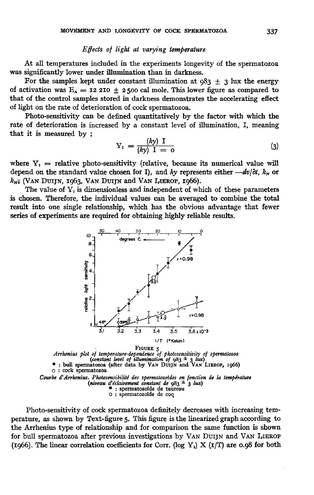### Effects of light at varying temperature

At all temperatures included in the experiments longevity of the spermatozoa was significantly lower under illumination than in darkness.

was significantly lower under illumination than in darkness.<br>
For the samples kept under constant illumination at  $983 \pm 3$  lux the energy<br>
of activation was  $E_A = 12210 \pm 2500$  cal mole. This lower figure as compared to<br> that of the control samples stored in darkness demonstrates the accelerating effect of light on the rate of deterioration of cock spermatozoa.

Photo-sensitivity can be defined quantitatively by the factor with which the rate of deterioration is increased by a constant level of illumination, I, meaning that it is measured by :

$$
Y_1 = \frac{(ky) I}{(ky) I = 0}
$$
 (3)

where  $Y_1$  = relative photo-sensitivity (relative, because its numerical value will  $Y_1 = \frac{1}{(ky)} \overline{1} = 0$  (3)<br>where  $Y_1$  = relative photo-sensitivity (relative, because its numerical value will<br>depend on the standard value chosen for I), and ky represents either  $-dv/dt$ ,  $k_N$  or<br> $k_{N\bar{v}}$  (VAN DUIJN, where  $Y_I$  = relative photo-sensitivity (relative, because is<br>depend on the standard value chosen for I), and ky represe<br> $k_{N\bar{v}}$  (VAN DUIJN, 1963, VAN DUIJN and VAN LIEROP, 1966).<br>The value of V, is dimensionless and i

The value of  $Y_i$  is dimensionless and independent of which of these parameters is chosen. Therefore, the individual values can be averaged to combine the total result into one single relationship, which has the obvious advantage that fewer series of experiments are required for obtaining highly reliable results.



Arrhenius plot of temperature-dependence of photosensitivity of spermatozoa (constant level of illumination of  $983 \pm 3$  lux)<br>• : bull spermatozoa (after data by VAN DUIJN and VAN LIEROP, 1966) o : cock spermatozoa Courbe d'Arrhenius. Photosensibilité des spermatozoides en fonction de la température (niveau d'éclairement constant de  $983 \pm$ <br>• : spermatozoïde de taureau  $\frac{1}{3}$  lux) o : spermatozoïde de coq

Photo-sensitivity of cock spermatozoa definitely decreases with increasing temperature, as shown by Text-figure 5. This figure is the linearized graph according to the Arrhenius type of relationship and for comparison the same function is shown Floto-sensitivity of cock spermatozoa definitely decreases with increasing tem-<br>perature, as shown by Text-figure 5. This figure is the linearized graph according to<br>the Arrhenius type of relationship and for comparison th the Arrhenius type of relationship and for comparison the same function is shown<br>for bull spermatozoa after previous investigations by VAN DUIJN and VAN LIEROP<br>(1966). The linear correlation coefficients for Corr. (log Y<sub></sub>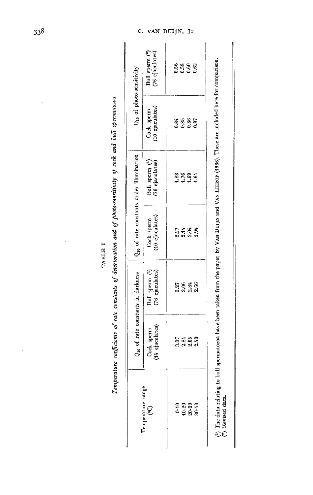|                                                                                                                                                                           |                               | Q <sub>10</sub> of rate constants in darkness  |                               | Q10 of rate constants under illumination       | Q10 of photo-sensitivity      |                                                |
|---------------------------------------------------------------------------------------------------------------------------------------------------------------------------|-------------------------------|------------------------------------------------|-------------------------------|------------------------------------------------|-------------------------------|------------------------------------------------|
| Temperature range<br>(°C)                                                                                                                                                 | (14 ejaculates)<br>Cock sperm | Bull sperm ( <sup>1</sup> )<br>(76 ejaculates) | (10 ejaculates)<br>Cock sperm | Bull sperm ( <sup>1</sup> )<br>(76 ejaculates) | (10 ejaculates)<br>Cock sperm | Bull sperm ( <sup>2</sup> )<br>(76 ejaculates) |
|                                                                                                                                                                           |                               |                                                |                               |                                                |                               |                                                |
|                                                                                                                                                                           |                               |                                                |                               |                                                |                               |                                                |
| ុ<br>ភូមិ ៖<br>ក្នុង ៖                                                                                                                                                    | 5 ដូចទឹ<br>តំនាំនាំនាំ        | ក្ដន្តដូច<br>តំនាំតំនាំ                        | ត្តដូង<br>តុំដូង              |                                                | ತ್ತೆ ಹೆಚ್ಚಿ<br>ರಂದರ           | ន្ទ័ន្ទខ្លួ<br>ទំនុំទំនុំ                      |
|                                                                                                                                                                           |                               |                                                |                               |                                                |                               |                                                |
|                                                                                                                                                                           |                               |                                                |                               |                                                |                               |                                                |
| (1) The data relating to bull spermatozoa have been taken from the paper by VAN DUIJN and VAN LIEROP (1966). These are included here for comparison.<br>(2) Revised data. |                               |                                                |                               |                                                |                               |                                                |
|                                                                                                                                                                           |                               |                                                |                               |                                                |                               |                                                |

TABLE I

Temperature coefficients of rate constants of deterioration and of photo-sensitivity of cock and bull spermatozoa

338

## C. VAN DUIJN, Jr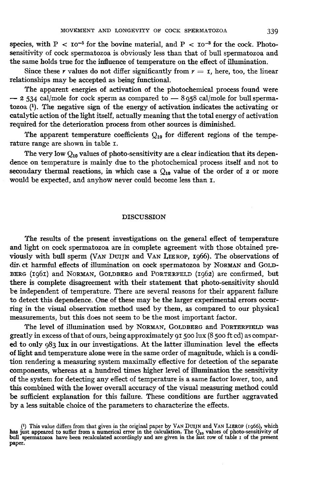MOVEMENT AND LONGEVITY OF COCK SPERMATOZOA 339<br>species, with  $P < 10^{-5}$  for the bovine material, and  $P < 10^{-3}$  for the cock. Photosensitivity of cock spermatozoa is obviously less than that of bull spermatozoa and the same holds true for the influence of temperature on the effect of illumination.

Since these r values do not differ significantly from  $r = r$ , here, too, the linear relationships may be accepted as being functional.

The apparent energies of activation of the photochemical process found were  $-$  2 534 cal/mole for cock sperm as compared to  $-$  8 958 cal/mole for bull spermatozoa  $(1)$ . The negative sign of the energy of activation indicates the activating or catalytic action of the light itself, actually meaning that the total energy of activation required for the deterioration process from other sources is diminished.

The apparent temperature coefficients  $Q_{10}$  for different regions of the temperature range are shown in table I.

The very low  $Q_{10}$  values of photo-sensitivity are a clear indication that its dependence on temperature is mainly due to the photochemical process itself and not to secondary thermal reactions, in which case a  $Q_{10}$  value of the order of 2 or more would be expected, and anyhow never could become less than i.

#### DISCUSSION

The results of the present investigations on the general effect of temperature and light on cock spermatozoa are in complete agreement with those obtained pre-The results of the present investigations on the general effect of temperature<br>and light on cock spermatozoa are in complete agreement with those obtained pre-<br>viously with bull sperm (VAN DUIJN and VAN LIEROP, 1966). The din ct harmful effects of illumination on cock spermatozoa by NORMAN and GOLD-<br>BERG (1961) and NORMAN, GOLDBERG and PORTERFELD (1962) are confirmed, but there is complete disagreement with their statement that photo-sensitivity should be independent of temperature. There are several reasons for their apparent failure to detect this dependence. One of these may be the larger experimental errors occurring in the visual observation method used by them, as compared to our physical measurements, but this does not seem to be the most important factor.

The level of illumination used by NORMAN, GOLDBERG and PORTERFIELD was greatly in excess of that of ours, being approximately  $\alpha$  500 lux (8 500 ft cd) as compared to only 983lux in our investigations. At the latter illumination level the effects of light and temperature alone were in the same order of magnitude, which is a condition rendering a measuring system maximally effective for detection of the separate components, whereas at a hundred times higher level of illumination the sensitivity of the system for detecting any effect of temperature is a same factor lower, too, and this combined with the lower overall accuracy of the visual measuring method could be sufficient explanation for this failure. These conditions are further aggravated by a less suitable choice of the parameters to characterize the effects.

by a less suitable choice of the parameters to characterize the effects.<br>
(1) This value differs from that given in the original paper by VAN DUIJN and VAN LIEROP (1966), which<br>
has just appeared to suffer from a numerica paper.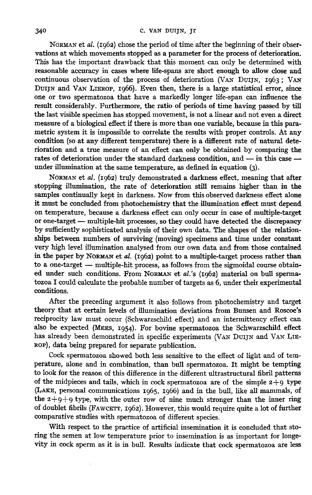C. VAN DUIJN, JT<br>NORMAN et al. (1962) chose the period of time after the beginning of their observations at which movements stopped as a parameter for the process of deterioration. This has the important drawback that this moment can only be determined with reasonable accuracy in cases where life-spans are short enough to allow close and valions at which inverticular suppert as a parameter for the process of determined with<br>reasonable accuracy in cases where life-spans are short enough to allow close and<br>continuous observation of the process of deteriorati one or two spermatozoa that have a markedly longer life-span can influence the result considerably. Furthermore, the ratio of periods of time having passed by till the last visible specimen has stopped movement, is not a linear and not even a direct measure of a biological effect if there is more than one variable, because in this parametric system it is impossible to correlate the results with proper controls. At any condition (so at any different temperature) there is a different rate of natural deterioration and a true measure of an effect can only be obtained by comparing the rates of deterioration under the standard darkness condition, and  $-$  in this case  $$ under illumination at the same temperature, as defined in equation (3).

NORMAN et al. (1962) truly demonstrated a darkness effect, meaning that after stopping illumination, the rate of deterioration still remains higher than in the samples continually kept in darkness. Now from this observed darkness effect alone it must be concluded from photochemistry that the illumination effect must depend<br>on temperature, because a darkness effect can only occur in case of multiple-target or one-target - multiple-hit processes, so they could have detected the discrepancy by sufficiently sophisticated analysis of their own data. The shapes of the relationships between numbers of surviving (moving) specimens and time under constant very high level illumination analysed from our own data and from those contained in the paper by NORMAN et al. (1962) point to a multiple-target process rather than in the paper by NORMAN et al. (1962) point to a multiple-target process rather than<br>to a one-target — multiple-hit process, as follows from the sigmoidal course obtain-<br>ed under such conditions. From NORMAN et al.'s (1962) tozoa I could calculate the probable number of targets as 6, under their experimental conditions.

After the preceding argument it also follows from photochemistry and target theory that at certain levels of illumination deviations from Bunsen and Roscoe's reciprocity law must occur (Schwarzschild effect) and an intermittency effect can also be expected (MEES, 1954). For bovine spermatozoa the Schwarzschild effect reciprocity law must occur (Schwarzschild effect) and an intermittency effect can<br>also be expected (MEES, 1954). For bovine spermatozoa the Schwarzschild effect<br>has already been demonstrated in specific experiments (VAN DU also be expected (meass, 1954). For bovine sperint<br>has already been demonstrated in specific experint<br>ROP), data being prepared for separate publication.

Cock spermatozoa showed both less sensitive to the effect of light and of temperature, alone and in combination, than bull spermatozoa. It might be tempting to look for the reason of this difference in the different ultrastructural fibril patterns of the midpieces and tails, which in cock spermatozoa are of the simple  $2+9$  type (LAKE, personal communications 1965, 1966) and in the bull, like all mammals, of the  $2+0+0$  type with the outer row of nine much stronger the  $2+9+9$  type, with the outer row of nine much stronger than the inner ring to look for the reason of this difference in the different ultrastructural fibril patterns<br>of the midpieces and tails, which in cock spermatozoa are of the simple  $2+9$  type<br>(LAKE, personal communications 1965, 1966) and comparative studies with spermatozoa of different species.

With respect to the practice of artificial insemination it is concluded that storing the semen at low temperature prior to insemination is as important for longevity in cock sperm as it is in bull. Results indicate that cock spermatozoa are less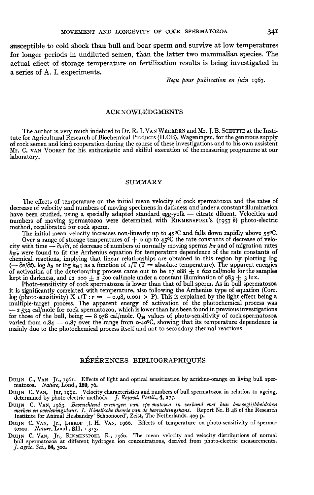susceptible to cold shock than bull and boar sperm and survive at low temperatures for longer periods in undiluted semen, than the latter two mammalian species. The actual effect of storage temperature on fertilization results is being investigated in a series of A. I. experiments.

Reçu pour publication en juin 1967.

#### ACKNOWLEDGMENTS

ACKNOWLEDGMENTS<br>The author is very much indebted to Dr. E. J. VAN WEERDEN and Mr. J. B. SCHUTTE at the Insti-<br>tute for Agricultural Research of Biochemical Products (ILOB), Wageningen, for the generous supply of cock semen and kind cooperation during the course of these investigations and to his own assistent Mr. C. VAN VOORST for his enthusiastic and skilful execution of the measuring programme at our The author is very much indebted to Dr. E. J. VAN WEERDEN and Mr. J. B. SCHUTTE at the Institute for Agricultural Research of Biochemical Products (ILOB), Wageningen, for the generous supply of cock semen and kind cooperat laboratory.

#### **SUMMARY**

The effects of temperature on the initial mean velocity of cock spermatozoa and the rates of decrease of velocity and numbers of moving specimens in darkness and under a constant illumination have been studied, using a specially adapted standard egg-yolk - citrate diluent. Velocities and decrease of velocity and numbers of moving specimens in darkness and under a constant illumination<br>have been studied, using a specially adapted standard egg-yolk — citrate diluent. Velocities and<br>numbers of moving spermato bers of moving spermatozoa were determined with RIKMENSPOEL'S (1957 b) photo-electric<br>iod, recalibrated for cock sperm.<br>The initial mean velocity increases non-linearly up to 45<sup>o</sup>C and falls down rapidly above 55<sup>o</sup>C.<br>Ov

The initial mean velocity increases non-linearly up to 45°C and falls down rapidly above 55°C.<br>
Over a range of storage temperatures of  $+$  o up to 45°C the rate constants of decrease of velo-<br>
city with time  $- \partial v/\partial t$ , o city with time  $-\partial v/\partial t$ , of decrease of numbers of normally moving sperms  $k_N$  and of migration rates  $k_{\text{N}}\bar{i}$  were found to fit the Arrhenius equation for temperature dependence of the rate constants of chemical reactions, implying that linear relationships are obtained in this region by plotting log  $(-\partial v/\partial t)$ , log k<sub>N</sub> or log k<sub>N</sub><sup>3</sup>, as a function of  $i/T$  (T = absolute temperature). The apparent energies  $(-\partial v/\partial t)$ , log  $k_N$  or log  $k_N$ , as a function of  $1/T$  (T = absolute temperature). The apparent energies of activation of the deteriorating process came out to be  $17 \text{ o}88 \pm 1620$  cal/mole for the samples kept in darkn

Photo-sensitivity of cock spermatozoa is lower than that of bull sperm. As in bull spermatozoa it is significantly correlated with temperature, also following the Arrhenius type of equation (Corr. (—  $\partial v/\partial t$ ), log  $k_N$  or log  $k_N$ , as a function of  $I/I$  ( $I' =$  absolute temperature). The apparent energies<br>of activation of the deteriorating process came out to be 17  $\partial 83 \pm 1$  620 cal/mole for the samples<br>kept in d for those of the bull, being - 8 958 cal/mole.  $Q_{10}$  values of photo-sensitivity of cock spermatozon varied from 0.84 - 0.87 over the range from 0-40<sup>o</sup>C, showing that its temperature dependence is mainly due to the photochemical process itself and not to secondary thermal reactions.

## RÉFÉRENCES BIBLIOGRAPHIQUES

- DUIJN C., VAN Jr., 1961. Effects of light and optical sensitization by acridine-orange on living bull sper-<br>matozoa. Nature, Lond., 189, 76. RÉFÉRENCES BIBLIOGRAPHIQUES<br>DUIJN C., VAN Jr., 1961. Effects of light and optical sensitization by acridine-orange on living bull spermatozoa. Nature, Lond., 189, 76.<br>DUIJN C. VAN, Jnr, 1962. Velocity characteristics and n
- DUIJN C. VAN, Jnr, 1962. Velocity characteristics and numbers of bull spermatozoa in relation to ageing, determined by photo-electric methods. *J. Reprod. Fertil.*, **4**, 277.
- merken en overlevingsduur. I. Kinetische theorie van de bevruchtingskans. Report Nr. B 48 of the Research<br>Institute for Animal Husbandry' Schoonoord', Zeist, The Netherlands. 409 p. DUIJN C. VAN, 1963. *Bevruchtend v* emator van spe matozca in verband met hun beweeglijkheidsken merken en overlevingsduur. I. Kinetische theorie van de bevruchtingskans. Report Nr. B 48 of the Research Institute for Anim DUIJN C. VAN, JII, 1902. Vencing the methods. J. Reprod. Fertil., 4, 277.<br>DUIJN C. VAN, 1963. Bevruchtend vermene van spe matosca in verband met hun beweeglijkheidsken<br>merken en overlevingsduur. I. Kinetische theorie van d
- 
- bull spermatozoa at different hydrogen ion concentrations, derived from photo-electric measurements.<br>J. agric. Sci., 54, 300.